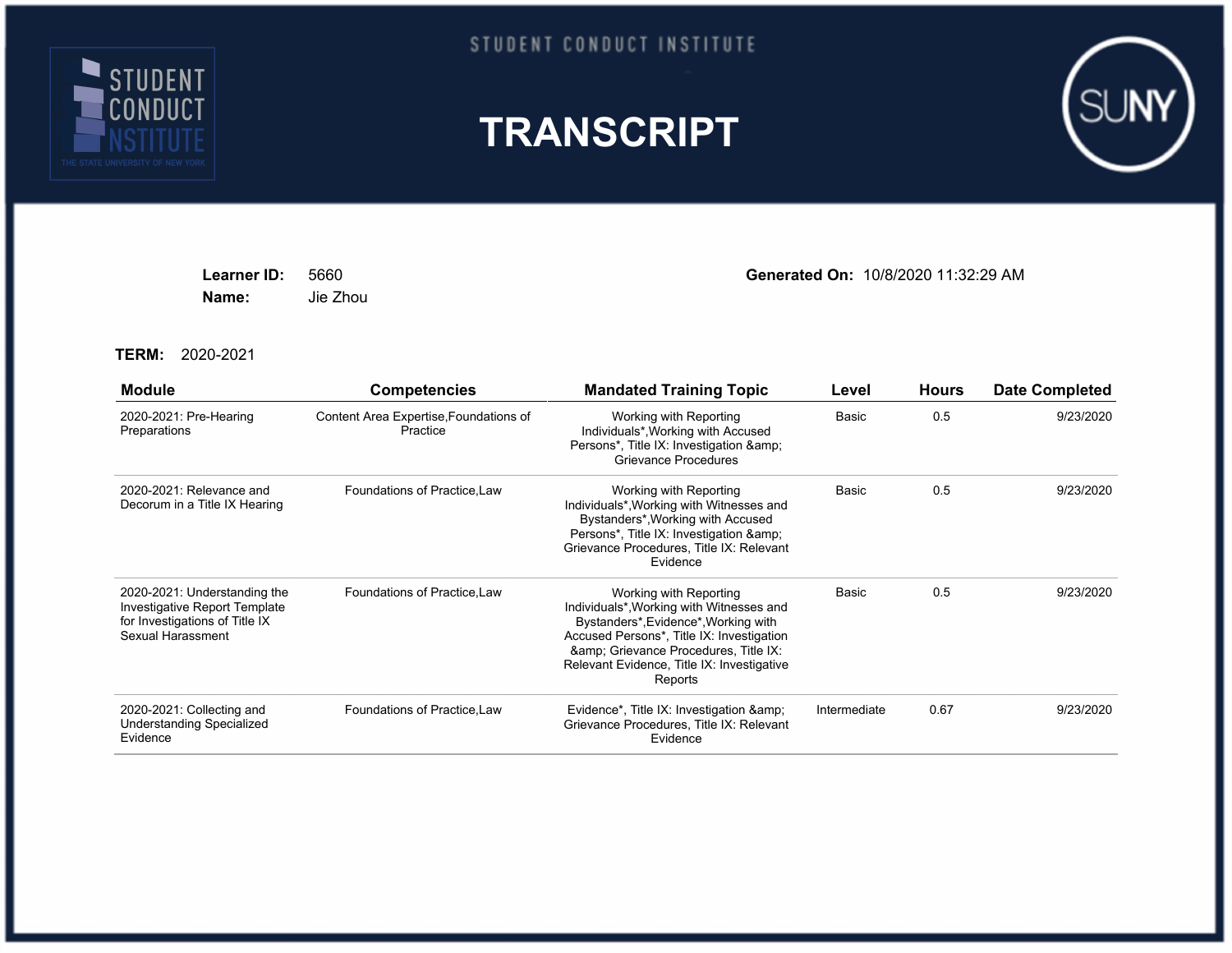

## STUDENT CONDUCT INSTITUTE





**Name:** Jie Zhou

**Learner ID:** 5660 **Generated On:** 10/8/2020 11:32:29 AM

**TERM:** 2020-2021

| <b>Module</b>                                                                                                        | <b>Competencies</b>                                | <b>Mandated Training Topic</b>                                                                                                                                                                                                                        | Level        | <b>Hours</b> | <b>Date Completed</b> |
|----------------------------------------------------------------------------------------------------------------------|----------------------------------------------------|-------------------------------------------------------------------------------------------------------------------------------------------------------------------------------------------------------------------------------------------------------|--------------|--------------|-----------------------|
| 2020-2021: Pre-Hearing<br>Preparations                                                                               | Content Area Expertise, Foundations of<br>Practice | Working with Reporting<br>Individuals*, Working with Accused<br>Persons*, Title IX: Investigation &<br>Grievance Procedures                                                                                                                           | Basic        | 0.5          | 9/23/2020             |
| 2020-2021: Relevance and<br>Decorum in a Title IX Hearing                                                            | Foundations of Practice, Law                       | Working with Reporting<br>Individuals*, Working with Witnesses and<br>Bystanders*, Working with Accused<br>Persons*, Title IX: Investigation & amp;<br>Grievance Procedures, Title IX: Relevant<br>Evidence                                           | Basic        | 0.5          | 9/23/2020             |
| 2020-2021: Understanding the<br>Investigative Report Template<br>for Investigations of Title IX<br>Sexual Harassment | Foundations of Practice, Law                       | Working with Reporting<br>Individuals*, Working with Witnesses and<br>Bystanders*, Evidence*, Working with<br>Accused Persons*, Title IX: Investigation<br>& Grievance Procedures, Title IX:<br>Relevant Evidence, Title IX: Investigative<br>Reports | Basic        | 0.5          | 9/23/2020             |
| 2020-2021: Collecting and<br><b>Understanding Specialized</b><br>Evidence                                            | Foundations of Practice, Law                       | Evidence*, Title IX: Investigation & amp;<br>Grievance Procedures, Title IX: Relevant<br>Evidence                                                                                                                                                     | Intermediate | 0.67         | 9/23/2020             |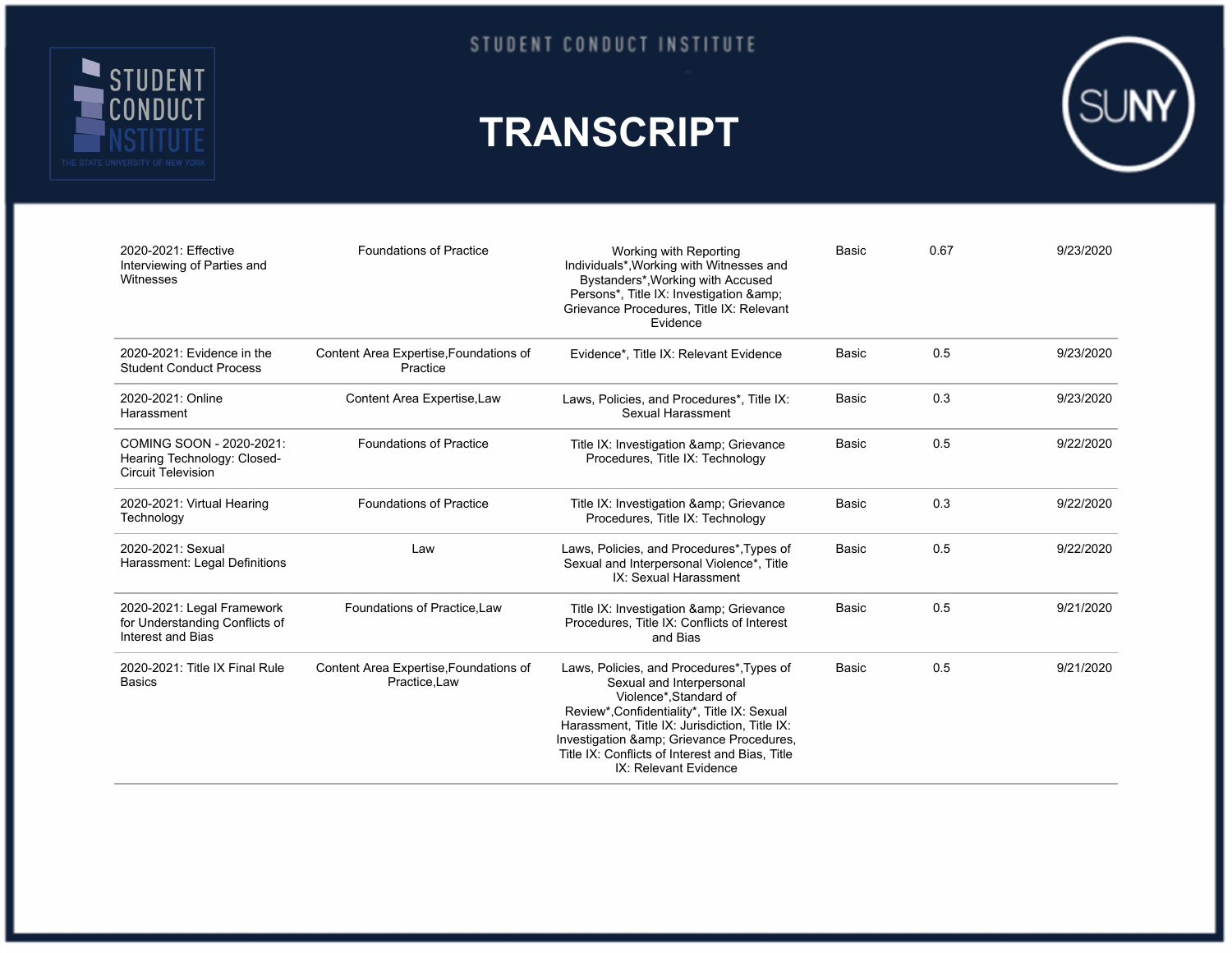

STUDENT CONDUCT INSTITUTE

## **TRANSCRIPT**



| 2020-2021: Effective<br>Interviewing of Parties and<br>Witnesses                     | <b>Foundations of Practice</b>                          | Working with Reporting<br>Individuals*, Working with Witnesses and<br>Bystanders*, Working with Accused<br>Persons*, Title IX: Investigation &<br>Grievance Procedures, Title IX: Relevant<br>Evidence                                                                                                               | Basic        | 0.67 | 9/23/2020 |
|--------------------------------------------------------------------------------------|---------------------------------------------------------|----------------------------------------------------------------------------------------------------------------------------------------------------------------------------------------------------------------------------------------------------------------------------------------------------------------------|--------------|------|-----------|
| 2020-2021: Evidence in the<br><b>Student Conduct Process</b>                         | Content Area Expertise, Foundations of<br>Practice      | Evidence*, Title IX: Relevant Evidence                                                                                                                                                                                                                                                                               | Basic        | 0.5  | 9/23/2020 |
| 2020-2021: Online<br>Harassment                                                      | Content Area Expertise, Law                             | Laws, Policies, and Procedures*, Title IX:<br>Sexual Harassment                                                                                                                                                                                                                                                      | Basic        | 0.3  | 9/23/2020 |
| COMING SOON - 2020-2021:<br>Hearing Technology: Closed-<br><b>Circuit Television</b> | <b>Foundations of Practice</b>                          | Title IX: Investigation & Grievance<br>Procedures, Title IX: Technology                                                                                                                                                                                                                                              | Basic        | 0.5  | 9/22/2020 |
| 2020-2021: Virtual Hearing<br>Technology                                             | <b>Foundations of Practice</b>                          | Title IX: Investigation & Grievance<br>Procedures, Title IX: Technology                                                                                                                                                                                                                                              | Basic        | 0.3  | 9/22/2020 |
| 2020-2021: Sexual<br>Harassment: Legal Definitions                                   | Law                                                     | Laws, Policies, and Procedures*, Types of<br>Sexual and Interpersonal Violence*, Title<br>IX: Sexual Harassment                                                                                                                                                                                                      | Basic        | 0.5  | 9/22/2020 |
| 2020-2021: Legal Framework<br>for Understanding Conflicts of<br>Interest and Bias    | Foundations of Practice.Law                             | Title IX: Investigation & Grievance<br>Procedures, Title IX: Conflicts of Interest<br>and Bias                                                                                                                                                                                                                       | <b>Basic</b> | 0.5  | 9/21/2020 |
| 2020-2021: Title IX Final Rule<br><b>Basics</b>                                      | Content Area Expertise, Foundations of<br>Practice, Law | Laws, Policies, and Procedures*, Types of<br>Sexual and Interpersonal<br>Violence*, Standard of<br>Review*, Confidentiality*, Title IX: Sexual<br>Harassment, Title IX: Jurisdiction, Title IX:<br>Investigation & Grievance Procedures,<br>Title IX: Conflicts of Interest and Bias, Title<br>IX: Relevant Evidence | Basic        | 0.5  | 9/21/2020 |